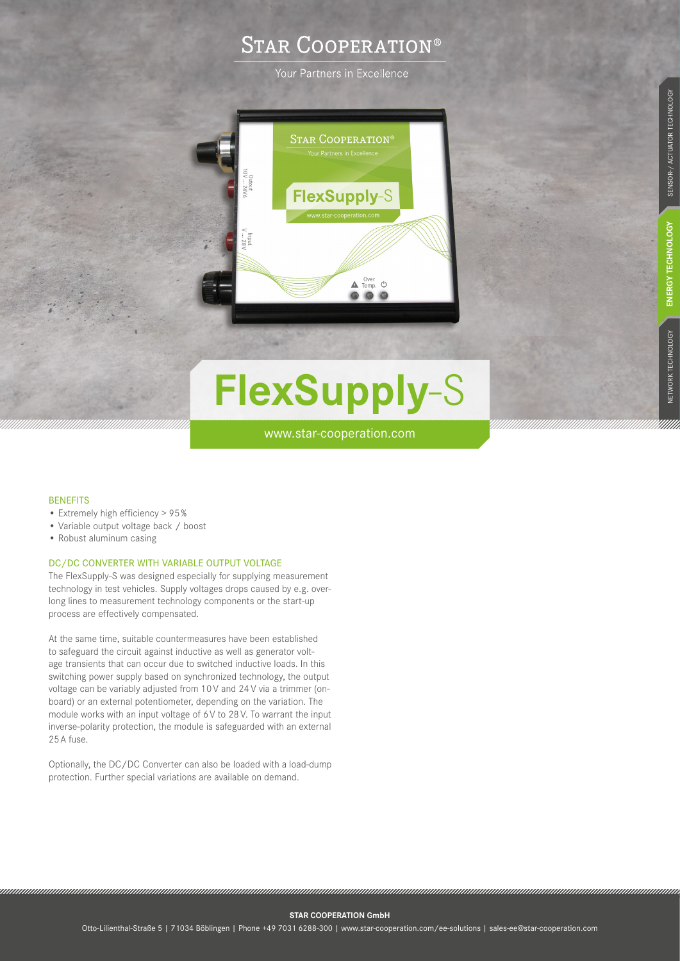# **STAR COOPERATION®**

Your Partners in Excellence



# **FlexSupply**-S

www.star-cooperation.com

# **BENEFITS**

- Extremely high efficiency > 95%
- Variable output voltage back / boost
- Robust aluminum casing

# DC/DC CONVERTER WITH VARIABLE OUTPUT VOLTAGE

The FlexSupply-S was designed especially for supplying measurement technology in test vehicles. Supply voltages drops caused by e.g. overlong lines to measurement technology components or the start-up process are effectively compensated.

At the same time, suitable countermeasures have been established to safeguard the circuit against inductive as well as generator voltage transients that can occur due to switched inductive loads. In this switching power supply based on synchronized technology, the output voltage can be variably adjusted from 10V and 24V via a trimmer (onboard) or an external potentiometer, depending on the variation. The module works with an input voltage of 6V to 28V. To warrant the input inverse-polarity protection, the module is safeguarded with an external 25A fuse.

Optionally, the DC/DC Converter can also be loaded with a load-dump protection. Further special variations are available on demand.